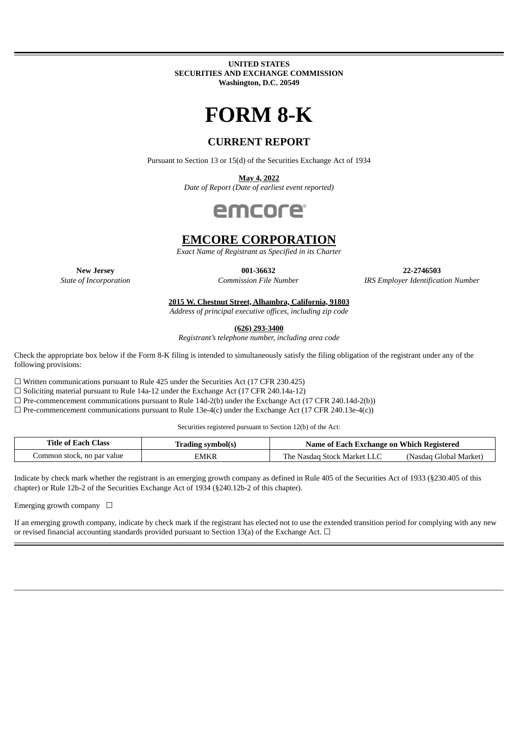**UNITED STATES SECURITIES AND EXCHANGE COMMISSION Washington, D.C. 20549**

# **FORM 8-K**

## **CURRENT REPORT**

Pursuant to Section 13 or 15(d) of the Securities Exchange Act of 1934

**May 4, 2022** *Date of Report (Date of earliest event reported)*



# **EMCORE CORPORATION**

*Exact Name of Registrant as Specified in its Charter*

**New Jersey 001-36632 22-2746503** *State of Incorporation Commission File Number IRS Employer Identification Number*

> **2015 W. Chestnut Street, Alhambra, California, 91803** *Address of principal executive offices, including zip code*

> > **(626) 293-3400**

*Registrant's telephone number, including area code*

Check the appropriate box below if the Form 8-K filing is intended to simultaneously satisfy the filing obligation of the registrant under any of the following provisions:

 $\Box$  Written communications pursuant to Rule 425 under the Securities Act (17 CFR 230.425)

 $\Box$  Soliciting material pursuant to Rule 14a-12 under the Exchange Act (17 CFR 240.14a-12)

 $\Box$  Pre-commencement communications pursuant to Rule 14d-2(b) under the Exchange Act (17 CFR 240.14d-2(b))

 $\Box$  Pre-commencement communications pursuant to Rule 13e-4(c) under the Exchange Act (17 CFR 240.13e-4(c))

Securities registered pursuant to Section 12(b) of the Act:

| <b>Title of Each Class</b> | Trading symbol(s | Name of Each Exchange on Which Registered |                            |  |  |  |
|----------------------------|------------------|-------------------------------------------|----------------------------|--|--|--|
| Common stock, no par value | EMKR             | The<br>i Stock Market.<br>Nasdad          | Market<br>Global<br>Nasdad |  |  |  |

Indicate by check mark whether the registrant is an emerging growth company as defined in Rule 405 of the Securities Act of 1933 (§230.405 of this chapter) or Rule 12b-2 of the Securities Exchange Act of 1934 (§240.12b-2 of this chapter).

Emerging growth company  $\Box$ 

If an emerging growth company, indicate by check mark if the registrant has elected not to use the extended transition period for complying with any new or revised financial accounting standards provided pursuant to Section 13(a) of the Exchange Act.  $\Box$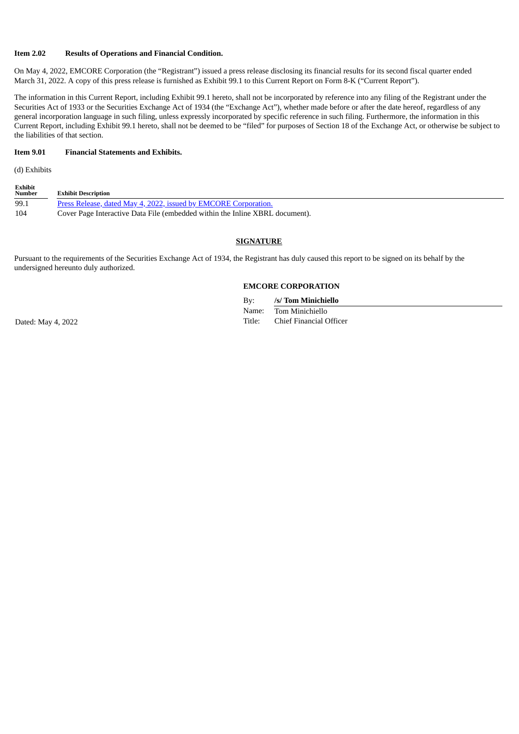#### **Item 2.02 Results of Operations and Financial Condition.**

On May 4, 2022, EMCORE Corporation (the "Registrant") issued a press release disclosing its financial results for its second fiscal quarter ended March 31, 2022. A copy of this press release is furnished as Exhibit 99.1 to this Current Report on Form 8-K ("Current Report").

The information in this Current Report, including Exhibit 99.1 hereto, shall not be incorporated by reference into any filing of the Registrant under the Securities Act of 1933 or the Securities Exchange Act of 1934 (the "Exchange Act"), whether made before or after the date hereof, regardless of any general incorporation language in such filing, unless expressly incorporated by specific reference in such filing. Furthermore, the information in this Current Report, including Exhibit 99.1 hereto, shall not be deemed to be "filed" for purposes of Section 18 of the Exchange Act, or otherwise be subject to the liabilities of that section.

#### **Item 9.01 Financial Statements and Exhibits.**

(d) Exhibits

| Exhibit<br>Number | <b>Exhibit Description</b>                                                   |
|-------------------|------------------------------------------------------------------------------|
| 99.1              | <b>Press Release, dated May 4, 2022, issued by EMCORE Corporation.</b>       |
| 104               | Cover Page Interactive Data File (embedded within the Inline XBRL document). |

#### **SIGNATURE**

Pursuant to the requirements of the Securities Exchange Act of 1934, the Registrant has duly caused this report to be signed on its behalf by the undersigned hereunto duly authorized.

#### **EMCORE CORPORATION**

| By:    | /s/ Tom Minichiello     |
|--------|-------------------------|
| Name:  | Tom Minichiello         |
| Title: | Chief Financial Officer |

Dated: May 4,  $2022$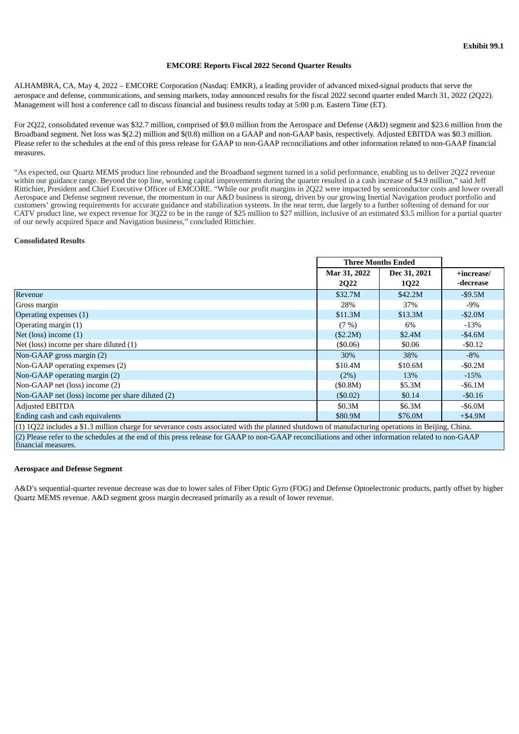#### **EMCORE Reports Fiscal 2022 Second Quarter Results**

<span id="page-2-0"></span>ALHAMBRA, CA, May 4, 2022 – EMCORE Corporation (Nasdaq: EMKR), a leading provider of advanced mixed-signal products that serve the aerospace and defense, communications, and sensing markets, today announced results for the fiscal 2022 second quarter ended March 31, 2022 (2Q22). Management will host a conference call to discuss financial and business results today at 5:00 p.m. Eastern Time (ET).

For 2Q22, consolidated revenue was \$32.7 million, comprised of \$9.0 million from the Aerospace and Defense (A&D) segment and \$23.6 million from the Broadband segment. Net loss was \$(2.2) million and \$(0.8) million on a GAAP and non-GAAP basis, respectively. Adjusted EBITDA was \$0.3 million. Please refer to the schedules at the end of this press release for GAAP to non-GAAP reconciliations and other information related to non-GAAP financial measures.

"As expected, our Quartz MEMS product line rebounded and the Broadband segment turned in a solid performance, enabling us to deliver 2Q22 revenue within our guidance range. Beyond the top line, working capital improvements during the quarter resulted in a cash increase of \$4.9 million," said Jeff Rittichier, President and Chief Executive Officer of EMCORE. "While our profit margins in 2Q22 were impacted by semiconductor costs and lower overall Aerospace and Defense segment revenue, the momentum in our A&D business is strong, driven by our growing Inertial Navigation product portfolio and customers' growing requirements for accurate guidance and stabilization systems. In the near term, due largely to a further softening of demand for our CATV product line, we expect revenue for 3Q22 to be in the range of \$25 million to \$27 million, inclusive of an estimated \$3.5 million for a partial quarter of our newly acquired Space and Navigation business," concluded Rittichier.

#### **Consolidated Results**

|                                                                                                                                                                          |              | <b>Three Months Ended</b> |            |  |
|--------------------------------------------------------------------------------------------------------------------------------------------------------------------------|--------------|---------------------------|------------|--|
|                                                                                                                                                                          | Mar 31, 2022 | Dec 31, 2021              | +increase/ |  |
|                                                                                                                                                                          | 2Q22         | 1Q22                      | -decrease  |  |
| Revenue                                                                                                                                                                  | \$32.7M      | \$42.2M\$                 | $-$ \$9.5M |  |
| Gross margin                                                                                                                                                             | 28%          | 37%                       | $-9\%$     |  |
| Operating expenses (1)                                                                                                                                                   | \$11.3M      | \$13.3M                   | $-$2.0M$   |  |
| Operating margin $(1)$                                                                                                                                                   | (7%)         | 6%                        | $-13%$     |  |
| Net (loss) income (1)                                                                                                                                                    | (S2.2M)      | \$2.4M                    | $-$4.6M$   |  |
| Net (loss) income per share diluted (1)                                                                                                                                  | $($ \$0.06)  | \$0.06                    | $-$0.12$   |  |
| Non-GAAP gross margin (2)                                                                                                                                                | 30%          | 38%                       | $-8\%$     |  |
| Non-GAAP operating expenses (2)                                                                                                                                          | \$10.4M      | \$10.6M                   | $-$ \$0.2M |  |
| Non-GAAP operating margin (2)                                                                                                                                            | (2%)         | 13%                       | $-15%$     |  |
| Non-GAAP net (loss) income (2)                                                                                                                                           | (\$0.8M)     | \$5.3M                    | $-$ \$6.1M |  |
| Non-GAAP net (loss) income per share diluted (2)                                                                                                                         | (\$0.02)     | \$0.14                    | $-$0.16$   |  |
| <b>Adjusted EBITDA</b>                                                                                                                                                   | \$0.3M       | \$6.3M                    | $-$ \$6.0M |  |
| Ending cash and cash equivalents                                                                                                                                         | \$80.9M      | \$76.0M                   | $+$ \$4.9M |  |
| $(1)$ 1Q22 includes a \$1.3 million charge for severance costs associated with the planned shutdown of manufacturing operations in Beijing, China.                       |              |                           |            |  |
| (2) Please refer to the schedules at the end of this press release for GAAP to non-GAAP reconciliations and other information related to non-GAAP<br>financial measures. |              |                           |            |  |

#### **Aerospace and Defense Segment**

A&D's sequential-quarter revenue decrease was due to lower sales of Fiber Optic Gyro (FOG) and Defense Optoelectronic products, partly offset by higher Quartz MEMS revenue. A&D segment gross margin decreased primarily as a result of lower revenue.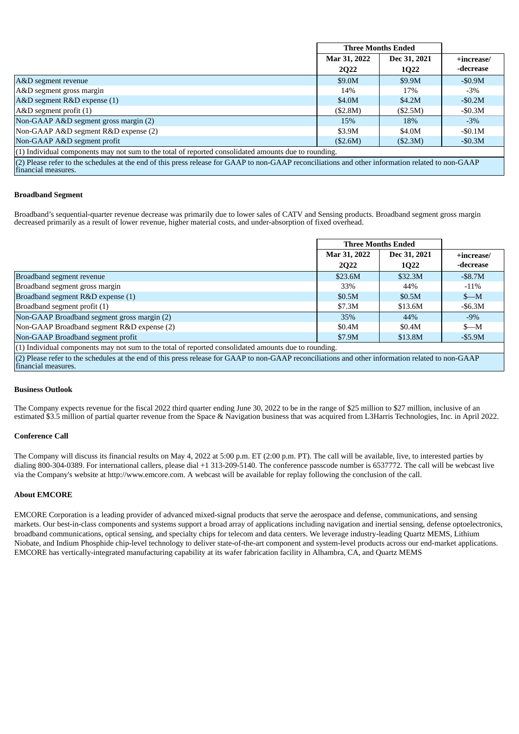|                                                                                                                                                                          | <b>Three Months Ended</b> |              |            |  |
|--------------------------------------------------------------------------------------------------------------------------------------------------------------------------|---------------------------|--------------|------------|--|
|                                                                                                                                                                          | Mar 31, 2022              | Dec 31, 2021 | +increase/ |  |
|                                                                                                                                                                          | <b>2022</b>               | 1Q22         | -decrease  |  |
| A&D segment revenue                                                                                                                                                      | \$9.0M                    | \$9.9M       | $-$0.9M$   |  |
| A&D segment gross margin                                                                                                                                                 | 14%                       | 17%          | $-3%$      |  |
| A&D segment R&D expense (1)                                                                                                                                              | \$4.0M                    | \$4.2M\$     | $-$0.2M$   |  |
| A&D segment profit (1)                                                                                                                                                   | (S2.8M)                   | (S2.5M)      | $-$ \$0.3M |  |
| Non-GAAP A&D segment gross margin (2)                                                                                                                                    | 15%                       | 18%          | $-3\%$     |  |
| Non-GAAP A&D segment R&D expense (2)                                                                                                                                     | \$3.9M                    | \$4.0M       | $-$0.1M$   |  |
| Non-GAAP A&D segment profit                                                                                                                                              | (\$2.6M)                  | (S2.3M)      | $-$ \$0.3M |  |
| $(1)$ Individual components may not sum to the total of reported consolidated amounts due to rounding.                                                                   |                           |              |            |  |
| (2) Please refer to the schedules at the end of this press release for GAAP to non-GAAP reconciliations and other information related to non-GAAP<br>financial measures. |                           |              |            |  |

#### **Broadband Segment**

Broadband's sequential-quarter revenue decrease was primarily due to lower sales of CATV and Sensing products. Broadband segment gross margin decreased primarily as a result of lower revenue, higher material costs, and under-absorption of fixed overhead.

|                                                                                                                                                                          | <b>Three Months Ended</b> |              |            |  |  |
|--------------------------------------------------------------------------------------------------------------------------------------------------------------------------|---------------------------|--------------|------------|--|--|
|                                                                                                                                                                          | Mar 31, 2022              | Dec 31, 2021 | +increase/ |  |  |
|                                                                                                                                                                          | <b>2022</b>               | 1Q22         | -decrease  |  |  |
| Broadband segment revenue                                                                                                                                                | \$23.6M                   | \$32.3M      | $-$ \$8.7M |  |  |
| Broadband segment gross margin                                                                                                                                           | 33%                       | 44%          | $-11\%$    |  |  |
| Broadband segment R&D expense (1)                                                                                                                                        | \$0.5M                    | \$0.5M       | $S-M$      |  |  |
| Broadband segment profit (1)                                                                                                                                             | \$7.3M                    | \$13.6M      | $-$ \$6.3M |  |  |
| Non-GAAP Broadband segment gross margin (2)                                                                                                                              | 35%                       | 44%          | $-9\%$     |  |  |
| Non-GAAP Broadband segment R&D expense (2)                                                                                                                               | \$0.4M                    | \$0.4M       | $S-M$      |  |  |
| Non-GAAP Broadband segment profit                                                                                                                                        | \$7.9M                    | \$13.8M      | $-$5.9M$   |  |  |
| $(1)$ Individual components may not sum to the total of reported consolidated amounts due to rounding.                                                                   |                           |              |            |  |  |
| (2) Please refer to the schedules at the end of this press release for GAAP to non-GAAP reconciliations and other information related to non-GAAP<br>financial measures. |                           |              |            |  |  |

#### **Business Outlook**

The Company expects revenue for the fiscal 2022 third quarter ending June 30, 2022 to be in the range of \$25 million to \$27 million, inclusive of an estimated \$3.5 million of partial quarter revenue from the Space & Navigation business that was acquired from L3Harris Technologies, Inc. in April 2022.

#### **Conference Call**

The Company will discuss its financial results on May 4, 2022 at 5:00 p.m. ET (2:00 p.m. PT). The call will be available, live, to interested parties by dialing 800-304-0389. For international callers, please dial +1 313-209-5140. The conference passcode number is 6537772. The call will be webcast live via the Company's website at http://www.emcore.com. A webcast will be available for replay following the conclusion of the call.

#### **About EMCORE**

EMCORE Corporation is a leading provider of advanced mixed-signal products that serve the aerospace and defense, communications, and sensing markets. Our best-in-class components and systems support a broad array of applications including navigation and inertial sensing, defense optoelectronics, broadband communications, optical sensing, and specialty chips for telecom and data centers. We leverage industry-leading Quartz MEMS, Lithium Niobate, and Indium Phosphide chip-level technology to deliver state-of-the-art component and system-level products across our end-market applications. EMCORE has vertically-integrated manufacturing capability at its wafer fabrication facility in Alhambra, CA, and Quartz MEMS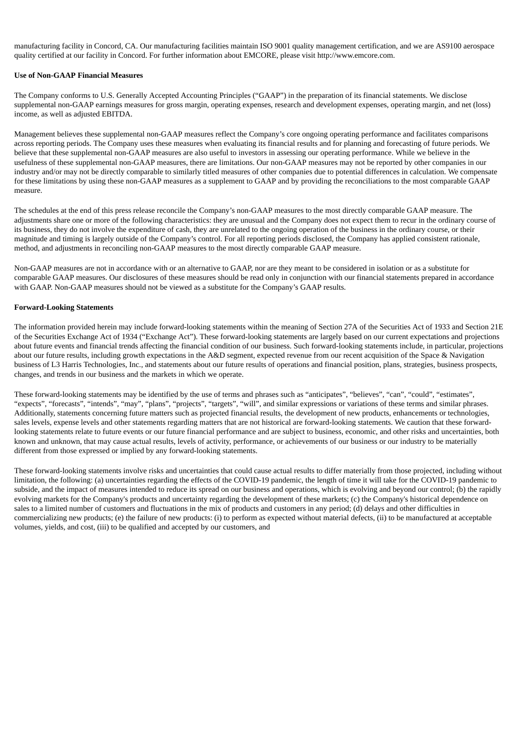manufacturing facility in Concord, CA. Our manufacturing facilities maintain ISO 9001 quality management certification, and we are AS9100 aerospace quality certified at our facility in Concord. For further information about EMCORE, please visit http://www.emcore.com.

#### **Use of Non-GAAP Financial Measures**

The Company conforms to U.S. Generally Accepted Accounting Principles ("GAAP") in the preparation of its financial statements. We disclose supplemental non-GAAP earnings measures for gross margin, operating expenses, research and development expenses, operating margin, and net (loss) income, as well as adjusted EBITDA.

Management believes these supplemental non-GAAP measures reflect the Company's core ongoing operating performance and facilitates comparisons across reporting periods. The Company uses these measures when evaluating its financial results and for planning and forecasting of future periods. We believe that these supplemental non-GAAP measures are also useful to investors in assessing our operating performance. While we believe in the usefulness of these supplemental non-GAAP measures, there are limitations. Our non-GAAP measures may not be reported by other companies in our industry and/or may not be directly comparable to similarly titled measures of other companies due to potential differences in calculation. We compensate for these limitations by using these non-GAAP measures as a supplement to GAAP and by providing the reconciliations to the most comparable GAAP measure.

The schedules at the end of this press release reconcile the Company's non-GAAP measures to the most directly comparable GAAP measure. The adjustments share one or more of the following characteristics: they are unusual and the Company does not expect them to recur in the ordinary course of its business, they do not involve the expenditure of cash, they are unrelated to the ongoing operation of the business in the ordinary course, or their magnitude and timing is largely outside of the Company's control. For all reporting periods disclosed, the Company has applied consistent rationale, method, and adjustments in reconciling non-GAAP measures to the most directly comparable GAAP measure.

Non-GAAP measures are not in accordance with or an alternative to GAAP, nor are they meant to be considered in isolation or as a substitute for comparable GAAP measures. Our disclosures of these measures should be read only in conjunction with our financial statements prepared in accordance with GAAP. Non-GAAP measures should not be viewed as a substitute for the Company's GAAP results.

#### **Forward-Looking Statements**

The information provided herein may include forward-looking statements within the meaning of Section 27A of the Securities Act of 1933 and Section 21E of the Securities Exchange Act of 1934 ("Exchange Act"). These forward-looking statements are largely based on our current expectations and projections about future events and financial trends affecting the financial condition of our business. Such forward-looking statements include, in particular, projections about our future results, including growth expectations in the A&D segment, expected revenue from our recent acquisition of the Space & Navigation business of L3 Harris Technologies, Inc., and statements about our future results of operations and financial position, plans, strategies, business prospects, changes, and trends in our business and the markets in which we operate.

These forward-looking statements may be identified by the use of terms and phrases such as "anticipates", "believes", "can", "could", "estimates", "expects", "forecasts", "intends", "may", "plans", "projects", "targets", "will", and similar expressions or variations of these terms and similar phrases. Additionally, statements concerning future matters such as projected financial results, the development of new products, enhancements or technologies, sales levels, expense levels and other statements regarding matters that are not historical are forward-looking statements. We caution that these forwardlooking statements relate to future events or our future financial performance and are subject to business, economic, and other risks and uncertainties, both known and unknown, that may cause actual results, levels of activity, performance, or achievements of our business or our industry to be materially different from those expressed or implied by any forward-looking statements.

These forward-looking statements involve risks and uncertainties that could cause actual results to differ materially from those projected, including without limitation, the following: (a) uncertainties regarding the effects of the COVID-19 pandemic, the length of time it will take for the COVID-19 pandemic to subside, and the impact of measures intended to reduce its spread on our business and operations, which is evolving and beyond our control; (b) the rapidly evolving markets for the Company's products and uncertainty regarding the development of these markets; (c) the Company's historical dependence on sales to a limited number of customers and fluctuations in the mix of products and customers in any period; (d) delays and other difficulties in commercializing new products; (e) the failure of new products: (i) to perform as expected without material defects, (ii) to be manufactured at acceptable volumes, yields, and cost, (iii) to be qualified and accepted by our customers, and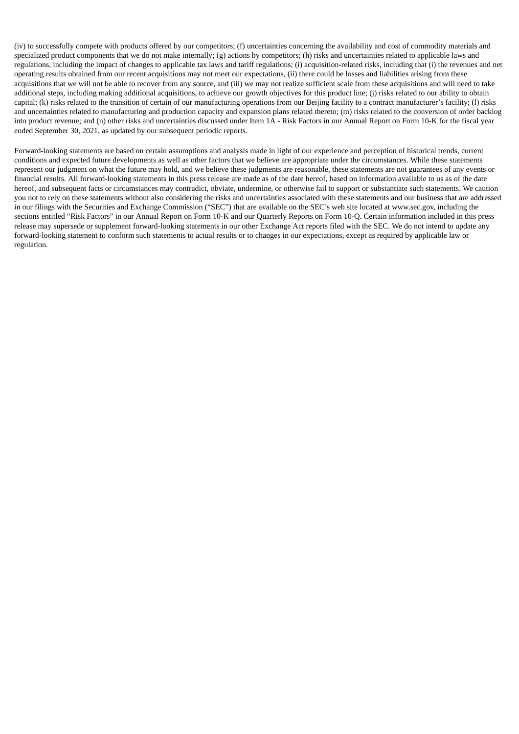(iv) to successfully compete with products offered by our competitors; (f) uncertainties concerning the availability and cost of commodity materials and specialized product components that we do not make internally; (g) actions by competitors; (h) risks and uncertainties related to applicable laws and regulations, including the impact of changes to applicable tax laws and tariff regulations; (i) acquisition-related risks, including that (i) the revenues and net operating results obtained from our recent acquisitions may not meet our expectations, (ii) there could be losses and liabilities arising from these acquisitions that we will not be able to recover from any source, and (iii) we may not realize sufficient scale from these acquisitions and will need to take additional steps, including making additional acquisitions, to achieve our growth objectives for this product line; (j) risks related to our ability to obtain capital; (k) risks related to the transition of certain of our manufacturing operations from our Beijing facility to a contract manufacturer's facility; (l) risks and uncertainties related to manufacturing and production capacity and expansion plans related thereto; (m) risks related to the conversion of order backlog into product revenue; and (n) other risks and uncertainties discussed under Item 1A - Risk Factors in our Annual Report on Form 10-K for the fiscal year ended September 30, 2021, as updated by our subsequent periodic reports.

Forward-looking statements are based on certain assumptions and analysis made in light of our experience and perception of historical trends, current conditions and expected future developments as well as other factors that we believe are appropriate under the circumstances. While these statements represent our judgment on what the future may hold, and we believe these judgments are reasonable, these statements are not guarantees of any events or financial results. All forward-looking statements in this press release are made as of the date hereof, based on information available to us as of the date hereof, and subsequent facts or circumstances may contradict, obviate, undermine, or otherwise fail to support or substantiate such statements. We caution you not to rely on these statements without also considering the risks and uncertainties associated with these statements and our business that are addressed in our filings with the Securities and Exchange Commission ("SEC") that are available on the SEC's web site located at www.sec.gov, including the sections entitled "Risk Factors" in our Annual Report on Form 10-K and our Quarterly Reports on Form 10-Q. Certain information included in this press release may supersede or supplement forward-looking statements in our other Exchange Act reports filed with the SEC. We do not intend to update any forward-looking statement to conform such statements to actual results or to changes in our expectations, except as required by applicable law or regulation.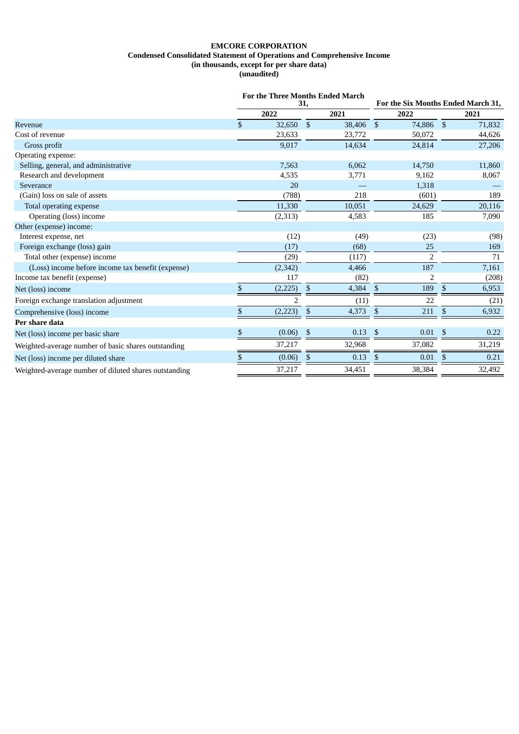#### **EMCORE CORPORATION Condensed Consolidated Statement of Operations and Comprehensive Income (in thousands, except for per share data) (unaudited)**

|                                                       | For the Three Months Ended March<br>31, |                |        |                         | For the Six Months Ended March 31, |                |        |
|-------------------------------------------------------|-----------------------------------------|----------------|--------|-------------------------|------------------------------------|----------------|--------|
|                                                       | 2022                                    |                | 2021   |                         | 2022                               |                | 2021   |
| Revenue                                               | \$<br>32,650                            | $\mathfrak{F}$ | 38,406 | $\mathfrak{s}$          | 74,886                             | $\mathfrak{S}$ | 71,832 |
| Cost of revenue                                       | 23,633                                  |                | 23,772 |                         | 50,072                             |                | 44,626 |
| Gross profit                                          | 9,017                                   |                | 14,634 |                         | 24,814                             |                | 27,206 |
| Operating expense:                                    |                                         |                |        |                         |                                    |                |        |
| Selling, general, and administrative                  | 7,563                                   |                | 6,062  |                         | 14,750                             |                | 11,860 |
| Research and development                              | 4,535                                   |                | 3,771  |                         | 9,162                              |                | 8,067  |
| Severance                                             | 20                                      |                |        |                         | 1,318                              |                |        |
| (Gain) loss on sale of assets                         | (788)                                   |                | 218    |                         | (601)                              |                | 189    |
| Total operating expense                               | 11,330                                  |                | 10,051 |                         | 24,629                             |                | 20,116 |
| Operating (loss) income                               | (2,313)                                 |                | 4,583  |                         | 185                                |                | 7,090  |
| Other (expense) income:                               |                                         |                |        |                         |                                    |                |        |
| Interest expense, net                                 | (12)                                    |                | (49)   |                         | (23)                               |                | (98)   |
| Foreign exchange (loss) gain                          | (17)                                    |                | (68)   |                         | 25                                 |                | 169    |
| Total other (expense) income                          | (29)                                    |                | (117)  |                         | $\overline{2}$                     |                | 71     |
| (Loss) income before income tax benefit (expense)     | (2, 342)                                |                | 4,466  |                         | 187                                |                | 7,161  |
| Income tax benefit (expense)                          | 117                                     |                | (82)   |                         | 2                                  |                | (208)  |
| Net (loss) income                                     | \$<br>(2, 225)                          | \$.            | 4,384  | \$                      | 189                                | \$             | 6,953  |
| Foreign exchange translation adjustment               | $\overline{2}$                          |                | (11)   |                         | 22                                 |                | (21)   |
| Comprehensive (loss) income                           | \$<br>(2, 223)                          | <sup>\$</sup>  | 4,373  | \$                      | 211                                | \$             | 6,932  |
| Per share data                                        |                                         |                |        |                         |                                    |                |        |
| Net (loss) income per basic share                     | \$<br>(0.06)                            | S              | 0.13   | \$                      | 0.01                               | - \$           | 0.22   |
| Weighted-average number of basic shares outstanding   | 37,217                                  |                | 32,968 |                         | 37,082                             |                | 31,219 |
| Net (loss) income per diluted share                   | \$<br>(0.06)                            | <sup>S</sup>   | 0.13   | $\mathbf{\mathfrak{S}}$ | 0.01                               | -S             | 0.21   |
| Weighted-average number of diluted shares outstanding | 37,217                                  |                | 34,451 |                         | 38,384                             |                | 32,492 |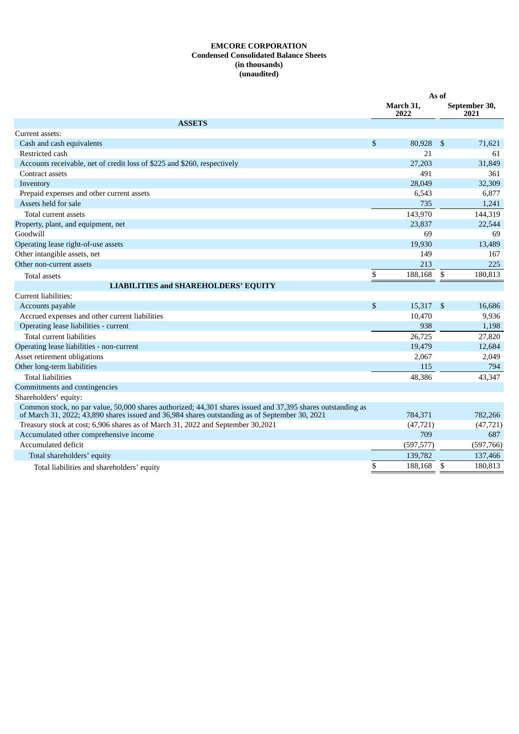### **EMCORE CORPORATION Condensed Consolidated Balance Sheets (in thousands) (unaudited)**

|                                                                                                                                                                                                               |              | As of             |    |                       |
|---------------------------------------------------------------------------------------------------------------------------------------------------------------------------------------------------------------|--------------|-------------------|----|-----------------------|
|                                                                                                                                                                                                               |              | March 31,<br>2022 |    | September 30,<br>2021 |
| <b>ASSETS</b>                                                                                                                                                                                                 |              |                   |    |                       |
| Current assets:                                                                                                                                                                                               |              |                   |    |                       |
| Cash and cash equivalents                                                                                                                                                                                     | $\mathbb{S}$ | 80.928            | \$ | 71,621                |
| Restricted cash                                                                                                                                                                                               |              | 21                |    | 61                    |
| Accounts receivable, net of credit loss of \$225 and \$260, respectively                                                                                                                                      |              | 27,203            |    | 31.849                |
| Contract assets                                                                                                                                                                                               |              | 491               |    | 361                   |
| Inventory                                                                                                                                                                                                     |              | 28,049            |    | 32,309                |
| Prepaid expenses and other current assets                                                                                                                                                                     |              | 6,543             |    | 6,877                 |
| Assets held for sale                                                                                                                                                                                          |              | 735               |    | 1,241                 |
| Total current assets                                                                                                                                                                                          |              | 143,970           |    | 144,319               |
| Property, plant, and equipment, net                                                                                                                                                                           |              | 23,837            |    | 22,544                |
| Goodwill                                                                                                                                                                                                      |              | 69                |    | 69                    |
| Operating lease right-of-use assets                                                                                                                                                                           |              | 19.930            |    | 13.489                |
| Other intangible assets, net                                                                                                                                                                                  |              | 149               |    | 167                   |
| Other non-current assets                                                                                                                                                                                      |              | 213               |    | 225                   |
| Total assets                                                                                                                                                                                                  | \$           | 188,168           | \$ | 180,813               |
| <b>LIABILITIES and SHAREHOLDERS' EQUITY</b>                                                                                                                                                                   |              |                   |    |                       |
| Current liabilities:                                                                                                                                                                                          |              |                   |    |                       |
| Accounts payable                                                                                                                                                                                              | \$           | 15,317            | \$ | 16,686                |
| Accrued expenses and other current liabilities                                                                                                                                                                |              | 10.470            |    | 9,936                 |
| Operating lease liabilities - current                                                                                                                                                                         |              | 938               |    | 1,198                 |
| <b>Total current liabilities</b>                                                                                                                                                                              |              | 26.725            |    | 27,820                |
| Operating lease liabilities - non-current                                                                                                                                                                     |              | 19,479            |    | 12,684                |
| Asset retirement obligations                                                                                                                                                                                  |              | 2,067             |    | 2,049                 |
| Other long-term liabilities                                                                                                                                                                                   |              | 115               |    | 794                   |
| <b>Total liabilities</b>                                                                                                                                                                                      |              | 48,386            |    | 43,347                |
| Commitments and contingencies                                                                                                                                                                                 |              |                   |    |                       |
| Shareholders' equity:                                                                                                                                                                                         |              |                   |    |                       |
| Common stock, no par value, 50,000 shares authorized; 44,301 shares issued and 37,395 shares outstanding as<br>of March 31, 2022; 43,890 shares issued and 36,984 shares outstanding as of September 30, 2021 |              | 784,371           |    | 782,266               |
| Treasury stock at cost; 6,906 shares as of March 31, 2022 and September 30,2021                                                                                                                               |              | (47, 721)         |    | (47, 721)             |
| Accumulated other comprehensive income                                                                                                                                                                        |              | 709               |    | 687                   |
| Accumulated deficit                                                                                                                                                                                           |              | (597, 577)        |    | (597,766)             |
| Total shareholders' equity                                                                                                                                                                                    |              | 139,782           |    | 137,466               |
| Total liabilities and shareholders' equity                                                                                                                                                                    | \$           | 188,168           | \$ | 180,813               |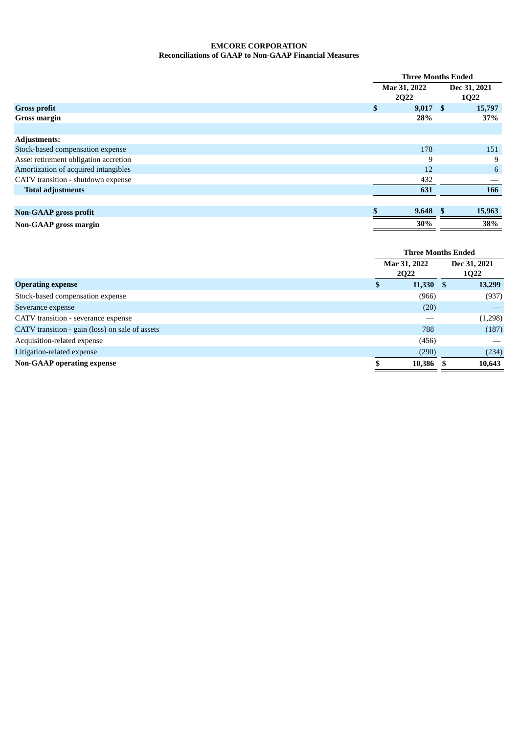## **EMCORE CORPORATION Reconciliations of GAAP to Non-GAAP Financial Measures**

|                                       |              | <b>Three Months Ended</b> |
|---------------------------------------|--------------|---------------------------|
|                                       | Mar 31, 2022 | Dec 31, 2021              |
|                                       | 2Q22         | 1Q22                      |
| <b>Gross profit</b>                   | \$           | $9,017$ \$<br>15,797      |
| <b>Gross margin</b>                   | 28%          | 37%                       |
|                                       |              |                           |
| <b>Adjustments:</b>                   |              |                           |
| Stock-based compensation expense      | 178          | 151                       |
| Asset retirement obligation accretion |              | 9<br>9                    |
| Amortization of acquired intangibles  | 12           | 6                         |
| CATV transition - shutdown expense    | 432          |                           |
| <b>Total adjustments</b>              | 631          | 166                       |
|                                       |              |                           |
| <b>Non-GAAP gross profit</b>          | S.           | $9,648$ \$<br>15,963      |
| <b>Non-GAAP gross margin</b>          | 30%          | 38%                       |
|                                       |              |                           |
|                                       |              | <b>Three Months Ended</b> |

| Mar 31, 2022 |        |      | Dec 31, 2021 |
|--------------|--------|------|--------------|
|              |        |      | 1Q22         |
| Φ            |        |      | 13,299       |
|              | (966)  |      | (937)        |
|              | (20)   |      |              |
|              |        |      | (1,298)      |
|              | 788    |      | (187)        |
|              | (456)  |      |              |
|              | (290)  |      | (234)        |
|              | 10,386 |      | 10,643       |
|              |        | 2022 | $11,330$ \$  |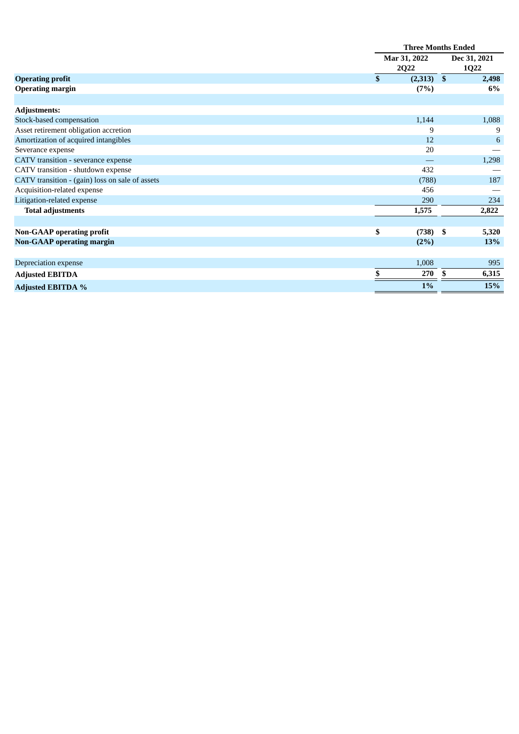|                                                 |                    | <b>Three Months Ended</b> |
|-------------------------------------------------|--------------------|---------------------------|
|                                                 | Mar 31, 2022       | Dec 31, 2021              |
|                                                 | 2Q22               | 1Q22                      |
| <b>Operating profit</b>                         | \$<br>$(2,313)$ \$ | 2,498                     |
| <b>Operating margin</b>                         | (7%)               | 6%                        |
|                                                 |                    |                           |
| <b>Adjustments:</b>                             |                    |                           |
| Stock-based compensation                        | 1,144              | 1,088                     |
| Asset retirement obligation accretion           | 9                  | 9                         |
| Amortization of acquired intangibles            | 12                 | 6                         |
| Severance expense                               | 20                 |                           |
| CATV transition - severance expense             |                    | 1,298                     |
| CATV transition - shutdown expense              | 432                |                           |
| CATV transition - (gain) loss on sale of assets | (788)              | 187                       |
| Acquisition-related expense                     | 456                |                           |
| Litigation-related expense                      | 290                | 234                       |
| <b>Total adjustments</b>                        | 1,575              | 2,822                     |
|                                                 |                    |                           |
| <b>Non-GAAP operating profit</b>                | \$<br>(738)        | - \$<br>5,320             |
| <b>Non-GAAP</b> operating margin                | (2%)               | 13%                       |
|                                                 |                    |                           |
| Depreciation expense                            | 1,008              | 995                       |
| <b>Adjusted EBITDA</b>                          | 270                | 6,315<br>-S               |
| <b>Adjusted EBITDA %</b>                        | 1%                 | 15%                       |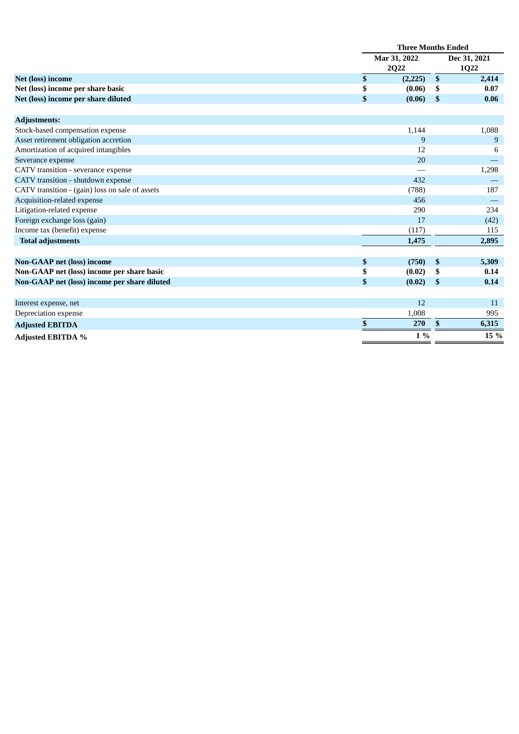|                                                 | <b>Three Months Ended</b> |                           |              |  |  |
|-------------------------------------------------|---------------------------|---------------------------|--------------|--|--|
|                                                 | Mar 31, 2022              |                           | Dec 31, 2021 |  |  |
|                                                 | 2Q22                      |                           | 1Q22         |  |  |
| Net (loss) income                               | \$<br>(2, 225)            | $\boldsymbol{\mathsf{s}}$ | 2,414        |  |  |
| Net (loss) income per share basic               | \$<br>(0.06)              | \$                        | 0.07         |  |  |
| Net (loss) income per share diluted             | \$<br>(0.06)              | $\boldsymbol{\mathsf{s}}$ | 0.06         |  |  |
| <b>Adjustments:</b>                             |                           |                           |              |  |  |
| Stock-based compensation expense                | 1,144                     |                           | 1,088        |  |  |
| Asset retirement obligation accretion           | 9                         |                           | 9            |  |  |
| Amortization of acquired intangibles            | 12                        |                           | 6            |  |  |
| Severance expense                               | 20                        |                           |              |  |  |
| CATV transition - severance expense             |                           |                           | 1,298        |  |  |
| CATV transition - shutdown expense              | 432                       |                           |              |  |  |
| CATV transition - (gain) loss on sale of assets | (788)                     |                           | 187          |  |  |
| Acquisition-related expense                     | 456                       |                           |              |  |  |
| Litigation-related expense                      | 290                       |                           | 234          |  |  |
| Foreign exchange loss (gain)                    | 17                        |                           | (42)         |  |  |
| Income tax (benefit) expense                    | (117)                     |                           | 115          |  |  |
| <b>Total adjustments</b>                        | 1,475                     |                           | 2,895        |  |  |
| <b>Non-GAAP net (loss) income</b>               | \$<br>(750)               | $\boldsymbol{\mathsf{s}}$ | 5,309        |  |  |
| Non-GAAP net (loss) income per share basic      | \$<br>(0.02)              | S                         | 0.14         |  |  |
| Non-GAAP net (loss) income per share diluted    | \$<br>(0.02)              | -S                        | 0.14         |  |  |
| Interest expense, net                           | 12                        |                           | 11           |  |  |
| Depreciation expense                            | 1,008                     |                           | 995          |  |  |
| <b>Adjusted EBITDA</b>                          | \$<br>270                 | $\boldsymbol{\mathsf{s}}$ | 6,315        |  |  |
| <b>Adjusted EBITDA %</b>                        | $1\%$                     |                           | 15 %         |  |  |